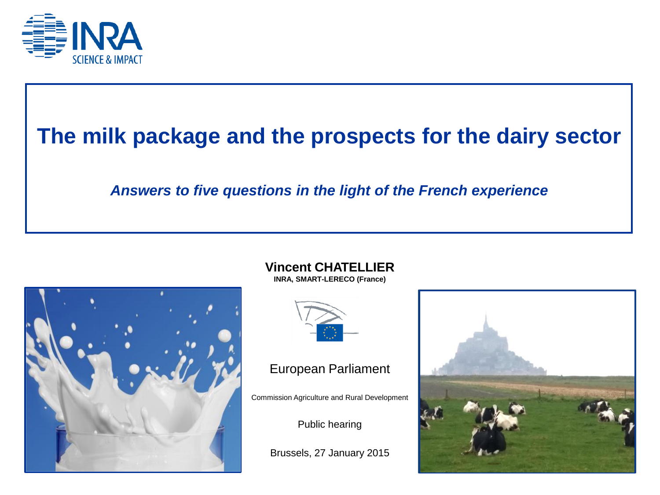

# **The milk package and the prospects for the dairy sector**

#### *Answers to five questions in the light of the French experience*



**Vincent CHATELLIER INRA, SMART-LERECO (France)**



#### European Parliament

Commission Agriculture and Rural Development

Public hearing

Brussels, 27 January 2015

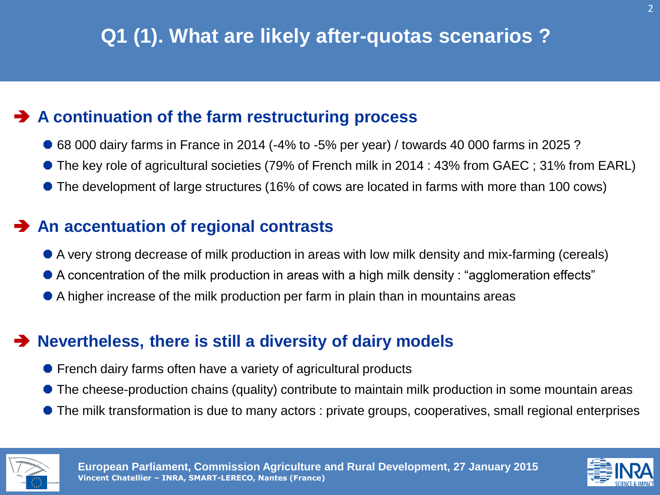# **Q1 (1). What are likely after-quotas scenarios ?**

# **A continuation of the farm restructuring process**

- 68 000 dairy farms in France in 2014 (-4% to -5% per year) / towards 40 000 farms in 2025 ?
- The key role of agricultural societies (79% of French milk in 2014 : 43% from GAEC ; 31% from EARL)
- The development of large structures (16% of cows are located in farms with more than 100 cows)

### **An accentuation of regional contrasts**

- A very strong decrease of milk production in areas with low milk density and mix-farming (cereals)
- A concentration of the milk production in areas with a high milk density : "agglomeration effects"
- A higher increase of the milk production per farm in plain than in mountains areas

# **Nevertheless, there is still a diversity of dairy models**

- French dairy farms often have a variety of agricultural products
- The cheese-production chains (quality) contribute to maintain milk production in some mountain areas
- The milk transformation is due to many actors : private groups, cooperatives, small regional enterprises



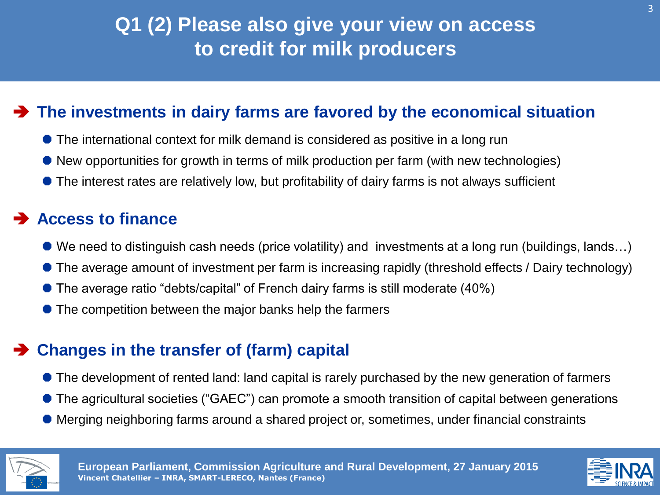# **Q1 (2) Please also give your view on access to credit for milk producers**

# **The investments in dairy farms are favored by the economical situation**

- The international context for milk demand is considered as positive in a long run
- New opportunities for growth in terms of milk production per farm (with new technologies)
- The interest rates are relatively low, but profitability of dairy farms is not always sufficient

### **Access to finance**

- We need to distinguish cash needs (price volatility) and investments at a long run (buildings, lands...)
- The average amount of investment per farm is increasing rapidly (threshold effects / Dairy technology)
- The average ratio "debts/capital" of French dairy farms is still moderate (40%)
- The competition between the major banks help the farmers

# **Changes in the transfer of (farm) capital**

- The development of rented land: land capital is rarely purchased by the new generation of farmers
- The agricultural societies ("GAEC") can promote a smooth transition of capital between generations
- Merging neighboring farms around a shared project or, sometimes, under financial constraints



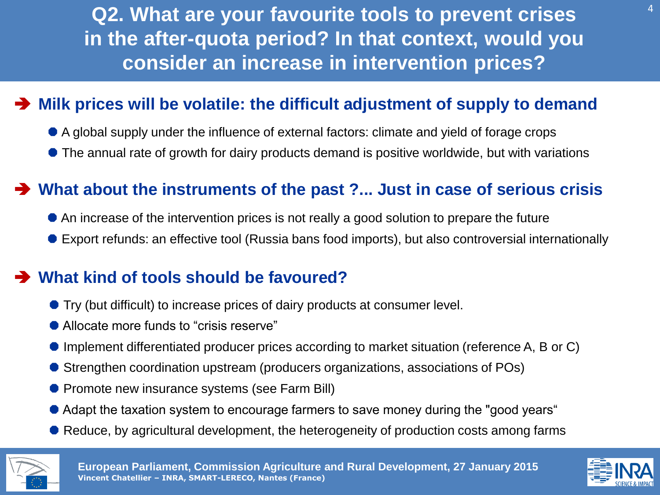<sup>4</sup> **Q2. What are your favourite tools to prevent crises in the after-quota period? In that context, would you consider an increase in intervention prices?** 

# **Milk prices will be volatile: the difficult adjustment of supply to demand**

- A global supply under the influence of external factors: climate and yield of forage crops
- The annual rate of growth for dairy products demand is positive worldwide, but with variations

# **What about the instruments of the past ?... Just in case of serious crisis**

- An increase of the intervention prices is not really a good solution to prepare the future
- Export refunds: an effective tool (Russia bans food imports), but also controversial internationally

# **What kind of tools should be favoured?**

- Try (but difficult) to increase prices of dairy products at consumer level.
- Allocate more funds to "crisis reserve"
- Implement differentiated producer prices according to market situation (reference A, B or C)
- Strengthen coordination upstream (producers organizations, associations of POs)
- **Promote new insurance systems (see Farm Bill)**
- Adapt the taxation system to encourage farmers to save money during the "good years"
- Reduce, by agricultural development, the heterogeneity of production costs among farms



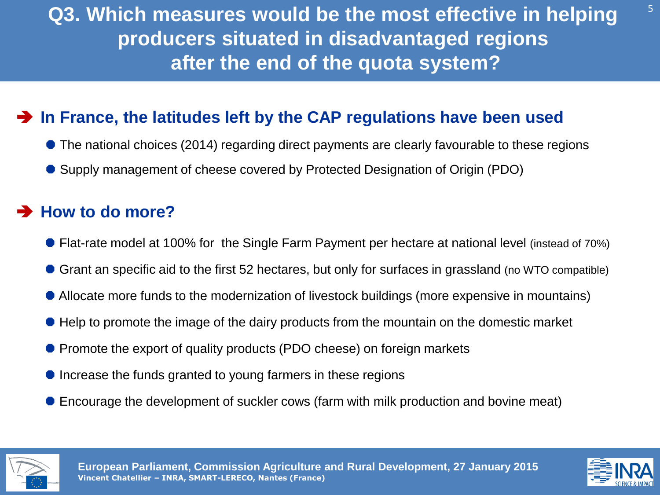# **Q3. Which measures would be the most effective in helping producers situated in disadvantaged regions after the end of the quota system?**

# **In France, the latitudes left by the CAP regulations have been used**

- The national choices (2014) regarding direct payments are clearly favourable to these regions
- Supply management of cheese covered by Protected Designation of Origin (PDO)

### **How to do more?**

- Flat-rate model at 100% for the Single Farm Payment per hectare at national level (instead of 70%)
- Grant an specific aid to the first 52 hectares, but only for surfaces in grassland (no WTO compatible)
- Allocate more funds to the modernization of livestock buildings (more expensive in mountains)
- Help to promote the image of the dairy products from the mountain on the domestic market
- **Promote the export of quality products (PDO cheese) on foreign markets**
- $\bullet$  Increase the funds granted to young farmers in these regions
- Encourage the development of suckler cows (farm with milk production and bovine meat)



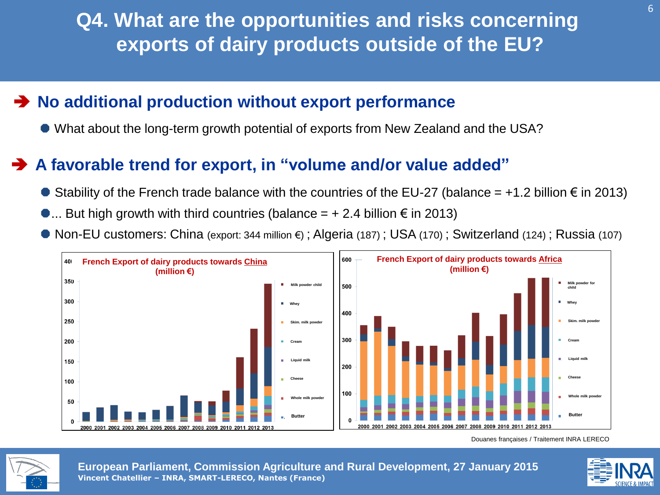**Q4. What are the opportunities and risks concerning exports of dairy products outside of the EU?**

# **No additional production without export performance**

What about the long-term growth potential of exports from New Zealand and the USA?

# **A favorable trend for export, in "volume and/or value added"**

- $\bullet$  Stability of the French trade balance with the countries of the EU-27 (balance = +1.2 billion € in 2013)
- $\bullet$ ... But high growth with third countries (balance =  $+ 2.4$  billion € in 2013)
- Non-EU customers: China (export: 344 million €) ; Algeria (187) ; USA (170) ; Switzerland (124) ; Russia (107)



Douanes françaises / Traitement INRA LERECO



**European Parliament, Commission Agriculture and Rural Development, 27 January 2015 Vincent Chatellier – INRA, SMART-LERECO, Nantes (France)**

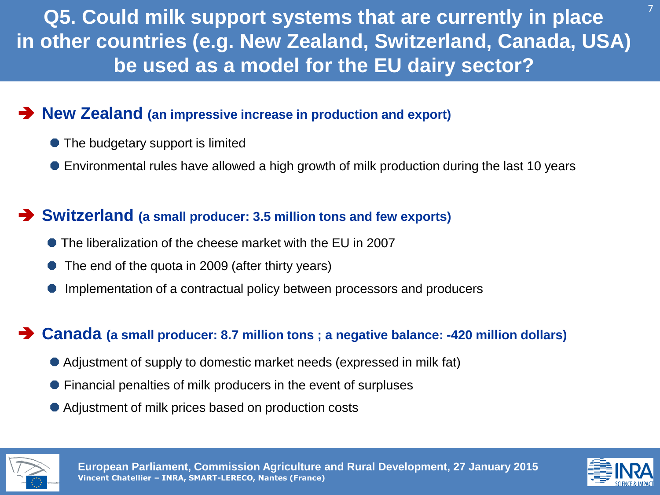**Q5. Could milk support systems that are currently in place in other countries (e.g. New Zealand, Switzerland, Canada, USA) be used as a model for the EU dairy sector?** 

### **New Zealand (an impressive increase in production and export)**

- The budgetary support is limited
- Environmental rules have allowed a high growth of milk production during the last 10 years

### **Switzerland (a small producer: 3.5 million tons and few exports)**

- The liberalization of the cheese market with the EU in 2007
- The end of the quota in 2009 (after thirty years)
- Implementation of a contractual policy between processors and producers

#### **Canada (a small producer: 8.7 million tons ; a negative balance: -420 million dollars)**

- Adjustment of supply to domestic market needs (expressed in milk fat)
- Financial penalties of milk producers in the event of surpluses
- Adjustment of milk prices based on production costs



**European Parliament, Commission Agriculture and Rural Development, 27 January 2015 Vincent Chatellier – INRA, SMART-LERECO, Nantes (France)**



7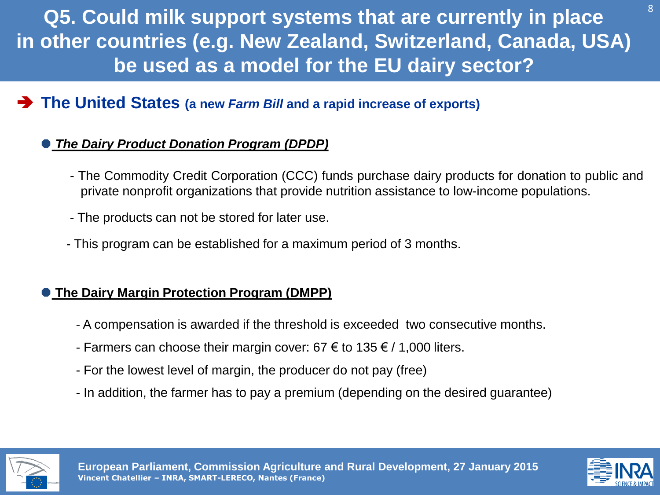**Q5. Could milk support systems that are currently in place in other countries (e.g. New Zealand, Switzerland, Canada, USA) be used as a model for the EU dairy sector?** 

# **The United States (a new** *Farm Bill* **and a rapid increase of exports)**

#### *The Dairy Product Donation Program (DPDP)*

- The Commodity Credit Corporation (CCC) funds purchase dairy products for donation to public and private nonprofit organizations that provide nutrition assistance to low-income populations.
- The products can not be stored for later use.
- This program can be established for a maximum period of 3 months.

#### **The Dairy Margin Protection Program (DMPP)**

- A compensation is awarded if the threshold is exceeded two consecutive months.
- Farmers can choose their margin cover: 67  $\epsilon$  to 135  $\epsilon$  / 1,000 liters.
- For the lowest level of margin, the producer do not pay (free)
- In addition, the farmer has to pay a premium (depending on the desired guarantee)





8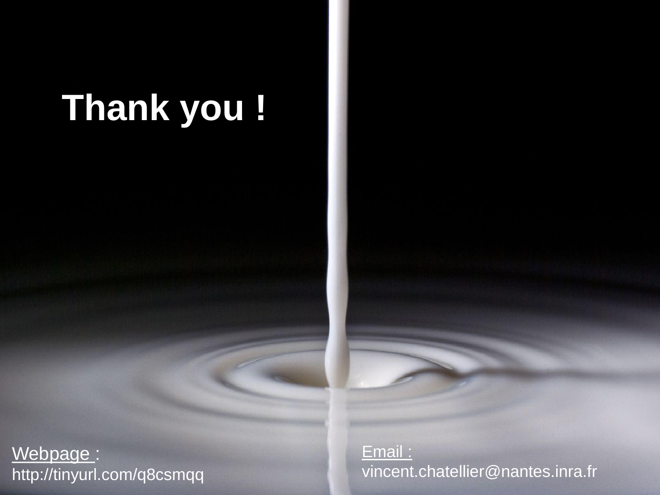# **Thank you !**

Webpage : http://tinyurl.com/q8csmqq Email : vincent.chatellier@nantes.inra.fr